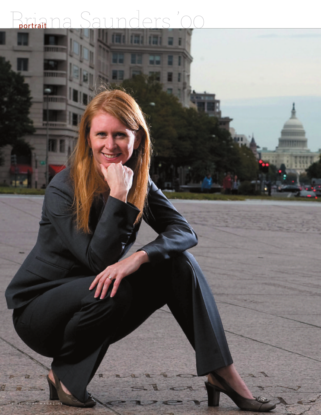## ers 'Or portrait

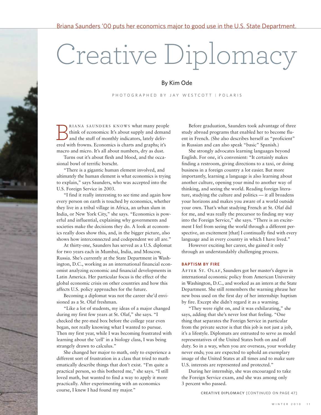## Creative Diplomacy

## By Kim Ode

P H O T O G R A P H E D B Y J A Y W E S T C O T T | P O L A R I S

RIANA SAUNDERS KNOWS what many people think of economics: It's about supply and demand and the stuff of monthly indicators, lately deliv-**EXAMA SAUNDERS KNOWS what many peop** think of economics: It's about supply and demained and the stuff of monthly indicators, lately delivered with frowns. Economics is charts and graphs; it's macro and micro. It's all about numbers, dry as dust.

Turns out it's about flesh and blood, and the occasional bowl of terrific borscht.

"There is a gigantic human element involved, and ultimately the human element is what economics is trying to explain," says Saunders, who was accepted into the U.S. Foreign Service in 2003.

"I find it really interesting to see time and again how every person on earth is touched by economics, whether they live in a tribal village in Africa, an urban slum in India, or New York City," she says. "Economics is powerful and influential, explaining why governments and societies make the decisions they do. A look at economics really does show this, and, in the bigger picture, also shows how interconnected and codependent we all are."

At thirty-one, Saunders has served as a U.S. diplomat for two years each in Mumbai, India, and Moscow, Russia. She's currently at the State Department in Washington, D.C., working as an international financial economist analyzing economic and financial developments in Latin America. Her particular focus is the effect of the global economic crisis on other countries and how this affects U.S. policy approaches for the future.

Becoming a diplomat was not the career she'd envisioned as a St. Olaf freshman.

"Like a lot of students, my ideas of a major changed during my first few years at St. Olaf," she says. "I checked the pre-med box before the college year even began, not really knowing what I wanted to pursue. Then my first year, while I was becoming frustrated with learning about the 'cell' in a biology class, I was being strangely drawn to calculus."

She changed her major to math, only to experience a different sort of frustration in a class that tried to mathematically describe things that don't exist. "I'm quite a practical person, so this bothered me," she says. "I still loved math, but wanted to find a way to apply it more practically. After experimenting with an economics course, I knew I had found my major."

Before graduation, Saunders took advantage of three study abroad programs that enabled her to become fluent in French. (She also describes herself as "proficient" in Russian and can also speak "basic" Spanish.)

She strongly advocates learning languages beyond English. For one, it's convenient: "It certainly makes finding a restroom, giving directions to a taxi, or doing business in a foreign country a lot easier. But more importantly, learning a language is also learning about another culture, opening your mind to another way of thinking, and seeing the world. Reading foreign literature, studying the culture and politics — it all broadens your horizons and makes you aware of a world outside your own. That's what studying French at St. Olaf did for me, and was really the precursor to finding my way into the Foreign Service," she says. "There is an excitement I feel from seeing the world through a different perspective, an excitement [that] I continually find with every language and in every country in which I have lived."

However exciting her career, she gained it only through an understandably challenging process.

## **BAPTISM BY FIRE**

AFTER ST. OLAF, Saunders got her master's degree in international economic policy from American University in Washington, D.C., and worked as an intern at the State Department. She still remembers the warning phrase her new boss used on the first day of her internship: baptism by fire. Except she didn't regard it as a warning.

"They were right on, and it was exhilarating," she says, adding that she's never lost that feeling. "One thing that separates the Foreign Service in particular from the private sector is that this job is not just a job, it's a lifestyle. Diplomats are entrusted to serve as model representatives of the United States both on and off duty. So in a way, when you are overseas, your workday never ends; you are expected to uphold an exemplary image of the United States at all times and to make sure U.S. interests are represented and protected."

During her internship, she was encouraged to take the Foreign Service exam, and she was among only 3 percent who passed.

**CREATIVE DIPLOMACY** [CONTINUED ON PAGE 47]